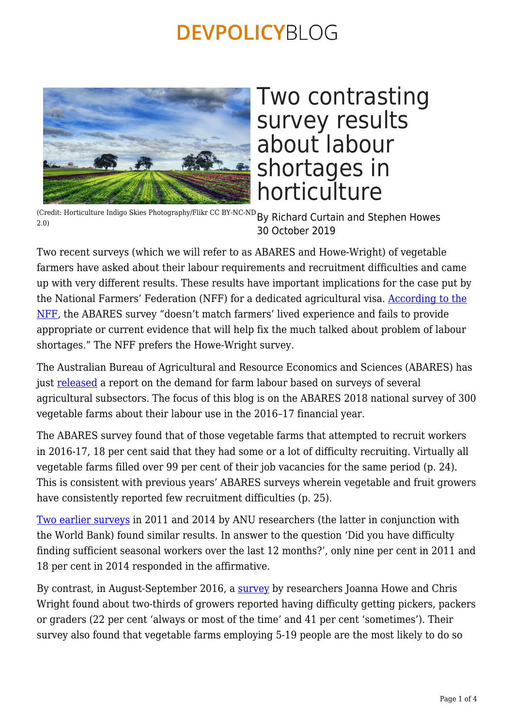

# Two contrasting survey results about labour shortages in horticulture

(Credit: Horticulture Indigo Skies Photography/Flikr CC BY-NC-ND  $_{\rm BV}$  Richard Curtain and Stephen Howes 2.0) 30 October 2019

Two recent surveys (which we will refer to as ABARES and Howe-Wright) of vegetable farmers have asked about their labour requirements and recruitment difficulties and came up with very different results. These results have important implications for the case put by the National Farmers' Federation (NFF) for a dedicated agricultural visa. [According to the](https://www.theaustralian.com.au/nation/desperate-farmers-risk-hiring-illegal-workers/news-story/ec37452a6171468e520b2f97a83fd100) [NFF,](https://www.theaustralian.com.au/nation/desperate-farmers-risk-hiring-illegal-workers/news-story/ec37452a6171468e520b2f97a83fd100) the ABARES survey "doesn't match farmers' lived experience and fails to provide appropriate or current evidence that will help fix the much talked about problem of labour shortages." The NFF prefers the Howe-Wright survey.

The Australian Bureau of Agricultural and Resource Economics and Sciences (ABARES) has just [released](http://www.agriculture.gov.au/abares/research-topics/labour/labour-survey-2018) a report on the demand for farm labour based on surveys of several agricultural subsectors. The focus of this blog is on the ABARES 2018 national survey of 300 vegetable farms about their labour use in the 2016–17 financial year.

The ABARES survey found that of those vegetable farms that attempted to recruit workers in 2016-17, 18 per cent said that they had some or a lot of difficulty recruiting. Virtually all vegetable farms filled over 99 per cent of their job vacancies for the same period (p. 24). This is consistent with previous years' ABARES surveys wherein vegetable and fruit growers have consistently reported few recruitment difficulties (p. 25).

[Two earlier surveys](http://devpolicy.org/publications/reports/Australias-Seasonal-Workers-Program.pdf) in 2011 and 2014 by ANU researchers (the latter in conjunction with the World Bank) found similar results. In answer to the question 'Did you have difficulty finding sufficient seasonal workers over the last 12 months?', only nine per cent in 2011 and 18 per cent in 2014 responded in the affirmative.

By contrast, in August-September 2016, a [survey](https://www.researchgate.net/publication/331586320_Towards_a_Durable_Future_Tackling_Labour_Challenges_in_the_Australian_Horticulture_Industry_-_APPENDICES%22) by researchers Joanna Howe and Chris Wright found about two-thirds of growers reported having difficulty getting pickers, packers or graders (22 per cent 'always or most of the time' and 41 per cent 'sometimes'). Their survey also found that vegetable farms employing 5-19 people are the most likely to do so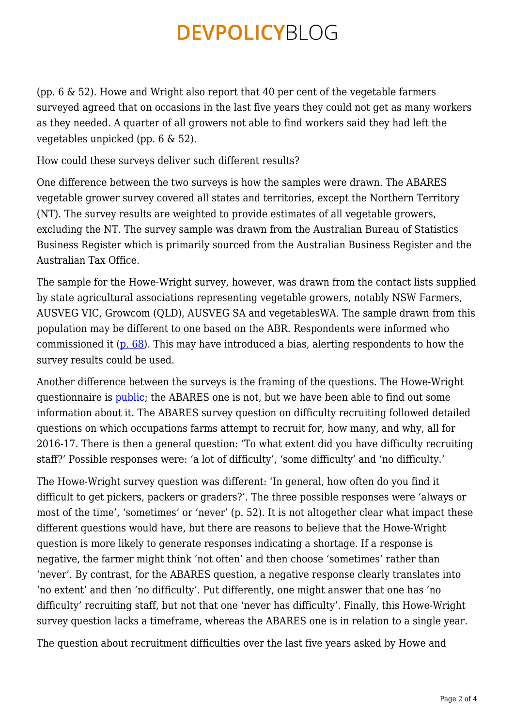(pp. 6 & 52). Howe and Wright also report that 40 per cent of the vegetable farmers surveyed agreed that on occasions in the last five years they could not get as many workers as they needed. A quarter of all growers not able to find workers said they had left the vegetables unpicked (pp. 6 & 52).

How could these surveys deliver such different results?

One difference between the two surveys is how the samples were drawn. The ABARES vegetable grower survey covered all states and territories, except the Northern Territory (NT). The survey results are weighted to provide estimates of all vegetable growers, excluding the NT. The survey sample was drawn from the Australian Bureau of Statistics Business Register which is primarily sourced from the Australian Business Register and the Australian Tax Office.

The sample for the Howe-Wright survey, however, was drawn from the contact lists supplied by state agricultural associations representing vegetable growers, notably NSW Farmers, AUSVEG VIC, Growcom (QLD), AUSVEG SA and vegetablesWA. The sample drawn from this population may be different to one based on the ABR. Respondents were informed who commissioned it [\(p. 68\)](https://www.researchgate.net/publication/331586320_Towards_a_Durable_Future_Tackling_Labour_Challenges_in_the_Australian_Horticulture_Industry_-_APPENDICES). This may have introduced a bias, alerting respondents to how the survey results could be used.

Another difference between the surveys is the framing of the questions. The Howe-Wright questionnaire is *public*; the ABARES one is not, but we have been able to find out some information about it. The ABARES survey question on difficulty recruiting followed detailed questions on which occupations farms attempt to recruit for, how many, and why, all for 2016-17. There is then a general question: 'To what extent did you have difficulty recruiting staff?' Possible responses were: 'a lot of difficulty', 'some difficulty' and 'no difficulty.'

The Howe-Wright survey question was different: 'In general, how often do you find it difficult to get pickers, packers or graders?'. The three possible responses were 'always or most of the time', 'sometimes' or 'never' (p. 52). It is not altogether clear what impact these different questions would have, but there are reasons to believe that the Howe-Wright question is more likely to generate responses indicating a shortage. If a response is negative, the farmer might think 'not often' and then choose 'sometimes' rather than 'never'. By contrast, for the ABARES question, a negative response clearly translates into 'no extent' and then 'no difficulty'. Put differently, one might answer that one has 'no difficulty' recruiting staff, but not that one 'never has difficulty'. Finally, this Howe-Wright survey question lacks a timeframe, whereas the ABARES one is in relation to a single year.

The question about recruitment difficulties over the last five years asked by Howe and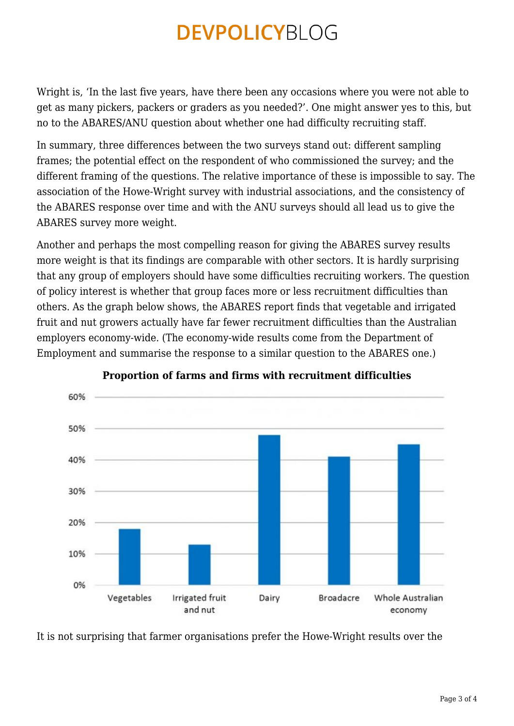Wright is, 'In the last five years, have there been any occasions where you were not able to get as many pickers, packers or graders as you needed?'. One might answer yes to this, but no to the ABARES/ANU question about whether one had difficulty recruiting staff.

In summary, three differences between the two surveys stand out: different sampling frames; the potential effect on the respondent of who commissioned the survey; and the different framing of the questions. The relative importance of these is impossible to say. The association of the Howe-Wright survey with industrial associations, and the consistency of the ABARES response over time and with the ANU surveys should all lead us to give the ABARES survey more weight.

Another and perhaps the most compelling reason for giving the ABARES survey results more weight is that its findings are comparable with other sectors. It is hardly surprising that any group of employers should have some difficulties recruiting workers. The question of policy interest is whether that group faces more or less recruitment difficulties than others. As the graph below shows, the ABARES report finds that vegetable and irrigated fruit and nut growers actually have far fewer recruitment difficulties than the Australian employers economy-wide. (The economy-wide results come from the Department of Employment and summarise the response to a similar question to the ABARES one.)



### **Proportion of farms and firms with recruitment difficulties**

It is not surprising that farmer organisations prefer the Howe-Wright results over the